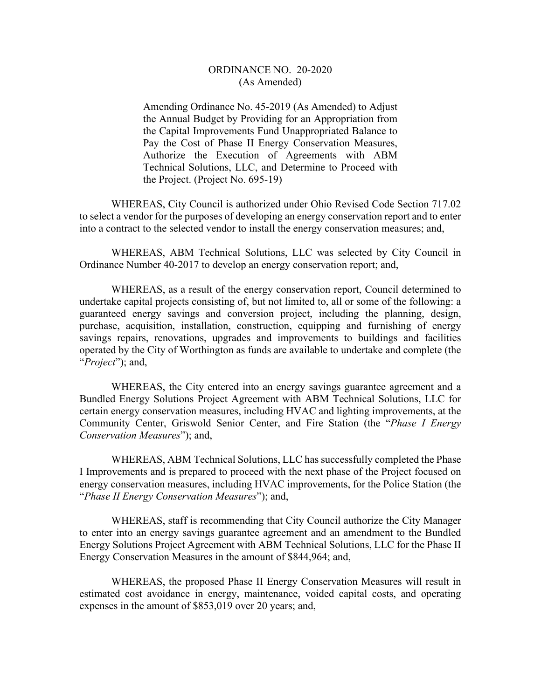## ORDINANCE NO. 20-2020 (As Amended)

Amending Ordinance No. 45-2019 (As Amended) to Adjust the Annual Budget by Providing for an Appropriation from the Capital Improvements Fund Unappropriated Balance to Pay the Cost of Phase II Energy Conservation Measures, Authorize the Execution of Agreements with ABM Technical Solutions, LLC, and Determine to Proceed with the Project. (Project No. 695-19)

 WHEREAS, City Council is authorized under Ohio Revised Code Section 717.02 to select a vendor for the purposes of developing an energy conservation report and to enter into a contract to the selected vendor to install the energy conservation measures; and,

 WHEREAS, ABM Technical Solutions, LLC was selected by City Council in Ordinance Number 40-2017 to develop an energy conservation report; and,

 WHEREAS, as a result of the energy conservation report, Council determined to undertake capital projects consisting of, but not limited to, all or some of the following: a guaranteed energy savings and conversion project, including the planning, design, purchase, acquisition, installation, construction, equipping and furnishing of energy savings repairs, renovations, upgrades and improvements to buildings and facilities operated by the City of Worthington as funds are available to undertake and complete (the "*Project*"); and,

 WHEREAS, the City entered into an energy savings guarantee agreement and a Bundled Energy Solutions Project Agreement with ABM Technical Solutions, LLC for certain energy conservation measures, including HVAC and lighting improvements, at the Community Center, Griswold Senior Center, and Fire Station (the "*Phase I Energy Conservation Measures*"); and,

 WHEREAS, ABM Technical Solutions, LLC has successfully completed the Phase I Improvements and is prepared to proceed with the next phase of the Project focused on energy conservation measures, including HVAC improvements, for the Police Station (the "*Phase II Energy Conservation Measures*"); and,

 WHEREAS, staff is recommending that City Council authorize the City Manager to enter into an energy savings guarantee agreement and an amendment to the Bundled Energy Solutions Project Agreement with ABM Technical Solutions, LLC for the Phase II Energy Conservation Measures in the amount of \$844,964; and,

 WHEREAS, the proposed Phase II Energy Conservation Measures will result in estimated cost avoidance in energy, maintenance, voided capital costs, and operating expenses in the amount of \$853,019 over 20 years; and,